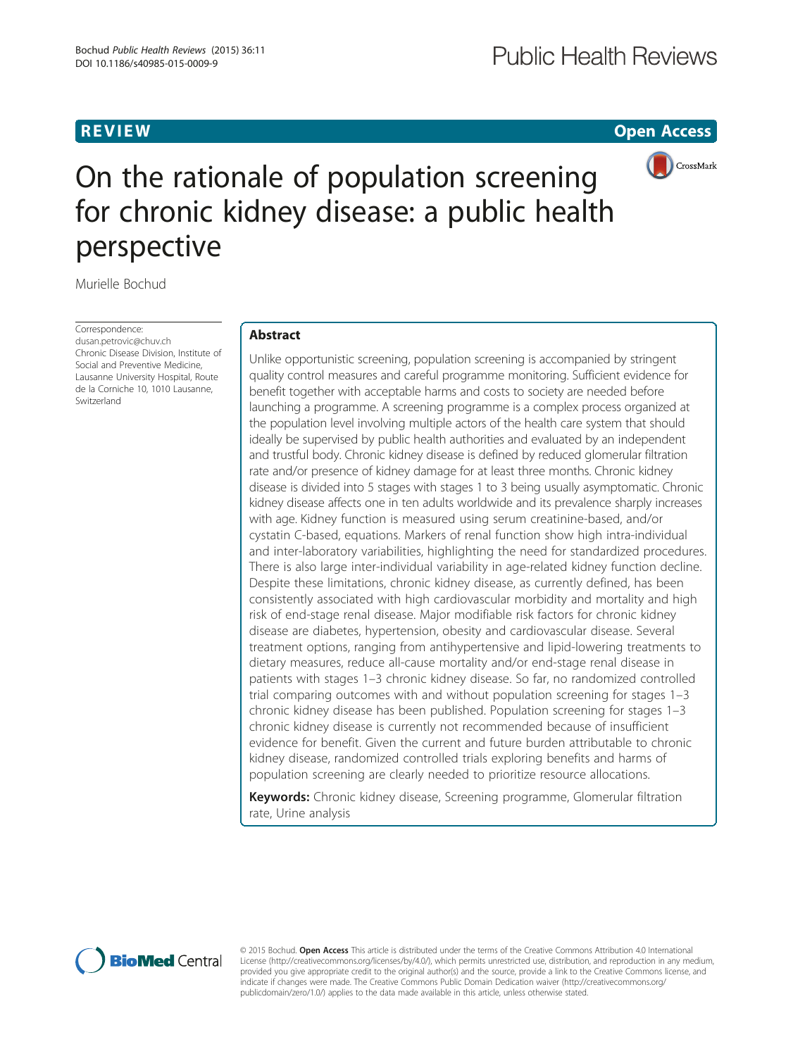## **REVIEW CONSULTANT CONTROL**



# On the rationale of population screening for chronic kidney disease: a public health perspective

Murielle Bochud

Correspondence: [dusan.petrovic@chuv.ch](mailto:dusan.petrovic@chuv.ch) Chronic Disease Division, Institute of Social and Preventive Medicine, Lausanne University Hospital, Route de la Corniche 10, 1010 Lausanne, Switzerland

# Abstract

Unlike opportunistic screening, population screening is accompanied by stringent quality control measures and careful programme monitoring. Sufficient evidence for benefit together with acceptable harms and costs to society are needed before launching a programme. A screening programme is a complex process organized at the population level involving multiple actors of the health care system that should ideally be supervised by public health authorities and evaluated by an independent and trustful body. Chronic kidney disease is defined by reduced glomerular filtration rate and/or presence of kidney damage for at least three months. Chronic kidney disease is divided into 5 stages with stages 1 to 3 being usually asymptomatic. Chronic kidney disease affects one in ten adults worldwide and its prevalence sharply increases with age. Kidney function is measured using serum creatinine-based, and/or cystatin C-based, equations. Markers of renal function show high intra-individual and inter-laboratory variabilities, highlighting the need for standardized procedures. There is also large inter-individual variability in age-related kidney function decline. Despite these limitations, chronic kidney disease, as currently defined, has been consistently associated with high cardiovascular morbidity and mortality and high risk of end-stage renal disease. Major modifiable risk factors for chronic kidney disease are diabetes, hypertension, obesity and cardiovascular disease. Several treatment options, ranging from antihypertensive and lipid-lowering treatments to dietary measures, reduce all-cause mortality and/or end-stage renal disease in patients with stages 1–3 chronic kidney disease. So far, no randomized controlled trial comparing outcomes with and without population screening for stages 1–3 chronic kidney disease has been published. Population screening for stages 1–3 chronic kidney disease is currently not recommended because of insufficient evidence for benefit. Given the current and future burden attributable to chronic kidney disease, randomized controlled trials exploring benefits and harms of population screening are clearly needed to prioritize resource allocations.

**Keywords:** Chronic kidney disease, Screening programme, Glomerular filtration rate, Urine analysis



© 2015 Bochud. Open Access This article is distributed under the terms of the Creative Commons Attribution 4.0 International License ([http://creativecommons.org/licenses/by/4.0/\)](http://creativecommons.org/licenses/by/4.0/), which permits unrestricted use, distribution, and reproduction in any medium, provided you give appropriate credit to the original author(s) and the source, provide a link to the Creative Commons license, and indicate if changes were made. The Creative Commons Public Domain Dedication waiver ([http://creativecommons.org/](http://creativecommons.org/publicdomain/zero/1.0/) [publicdomain/zero/1.0/\)](http://creativecommons.org/publicdomain/zero/1.0/) applies to the data made available in this article, unless otherwise stated.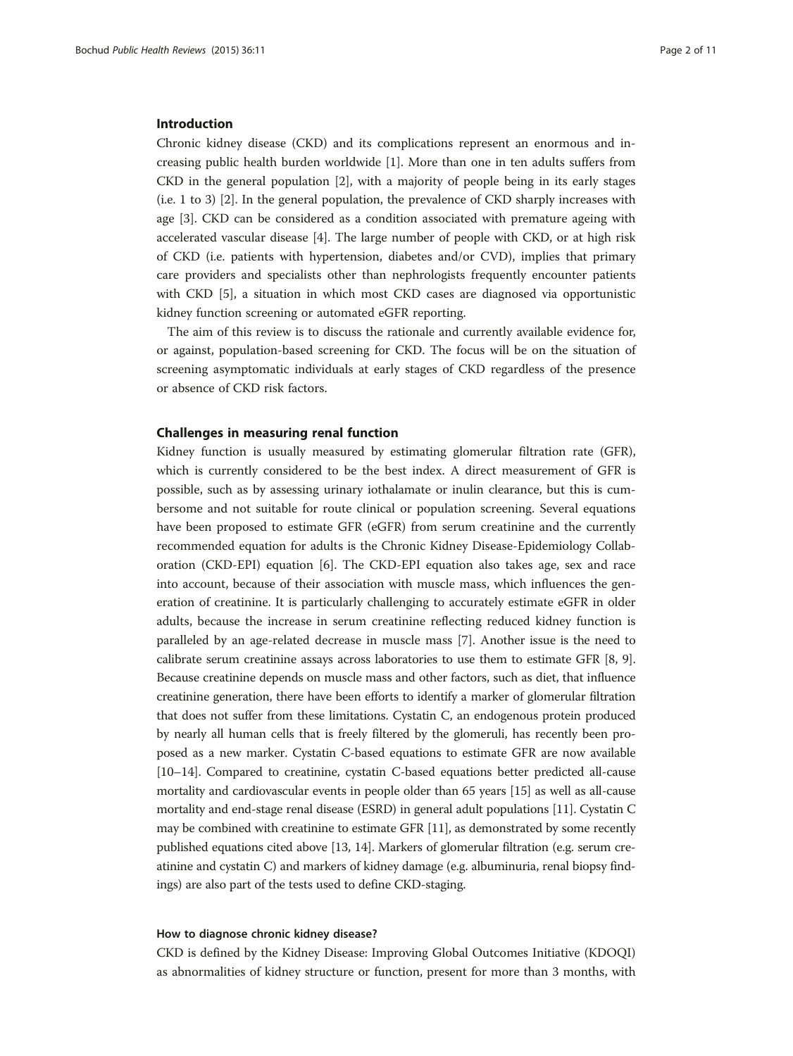#### Introduction

Chronic kidney disease (CKD) and its complications represent an enormous and increasing public health burden worldwide [[1\]](#page-8-0). More than one in ten adults suffers from CKD in the general population [[2\]](#page-8-0), with a majority of people being in its early stages (i.e. 1 to 3) [\[2](#page-8-0)]. In the general population, the prevalence of CKD sharply increases with age [[3\]](#page-8-0). CKD can be considered as a condition associated with premature ageing with accelerated vascular disease [\[4](#page-8-0)]. The large number of people with CKD, or at high risk of CKD (i.e. patients with hypertension, diabetes and/or CVD), implies that primary care providers and specialists other than nephrologists frequently encounter patients with CKD [[5](#page-8-0)], a situation in which most CKD cases are diagnosed via opportunistic kidney function screening or automated eGFR reporting.

The aim of this review is to discuss the rationale and currently available evidence for, or against, population-based screening for CKD. The focus will be on the situation of screening asymptomatic individuals at early stages of CKD regardless of the presence or absence of CKD risk factors.

#### Challenges in measuring renal function

Kidney function is usually measured by estimating glomerular filtration rate (GFR), which is currently considered to be the best index. A direct measurement of GFR is possible, such as by assessing urinary iothalamate or inulin clearance, but this is cumbersome and not suitable for route clinical or population screening. Several equations have been proposed to estimate GFR (eGFR) from serum creatinine and the currently recommended equation for adults is the Chronic Kidney Disease-Epidemiology Collaboration (CKD-EPI) equation [[6\]](#page-9-0). The CKD-EPI equation also takes age, sex and race into account, because of their association with muscle mass, which influences the generation of creatinine. It is particularly challenging to accurately estimate eGFR in older adults, because the increase in serum creatinine reflecting reduced kidney function is paralleled by an age-related decrease in muscle mass [[7\]](#page-9-0). Another issue is the need to calibrate serum creatinine assays across laboratories to use them to estimate GFR [\[8](#page-9-0), [9](#page-9-0)]. Because creatinine depends on muscle mass and other factors, such as diet, that influence creatinine generation, there have been efforts to identify a marker of glomerular filtration that does not suffer from these limitations. Cystatin C, an endogenous protein produced by nearly all human cells that is freely filtered by the glomeruli, has recently been proposed as a new marker. Cystatin C-based equations to estimate GFR are now available [[10](#page-9-0)–[14\]](#page-9-0). Compared to creatinine, cystatin C-based equations better predicted all-cause mortality and cardiovascular events in people older than 65 years [\[15\]](#page-9-0) as well as all-cause mortality and end-stage renal disease (ESRD) in general adult populations [\[11\]](#page-9-0). Cystatin C may be combined with creatinine to estimate GFR [\[11\]](#page-9-0), as demonstrated by some recently published equations cited above [[13](#page-9-0), [14](#page-9-0)]. Markers of glomerular filtration (e.g. serum creatinine and cystatin C) and markers of kidney damage (e.g. albuminuria, renal biopsy findings) are also part of the tests used to define CKD-staging.

#### How to diagnose chronic kidney disease?

CKD is defined by the Kidney Disease: Improving Global Outcomes Initiative (KDOQI) as abnormalities of kidney structure or function, present for more than 3 months, with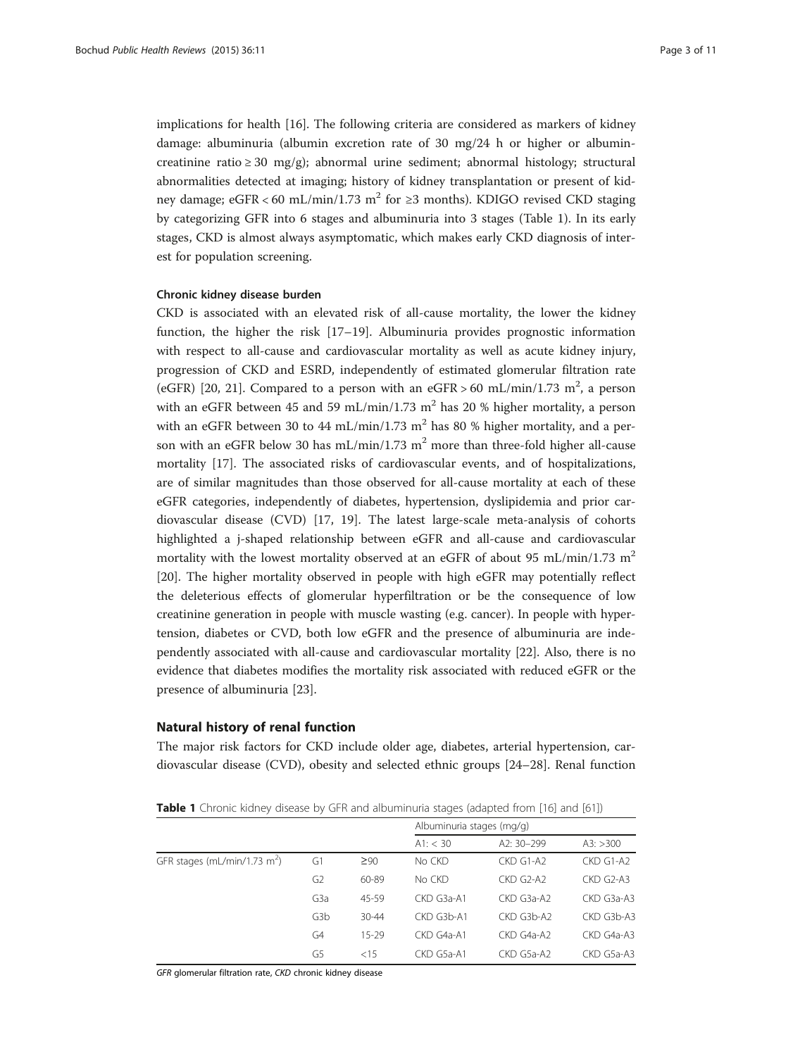implications for health [\[16](#page-9-0)]. The following criteria are considered as markers of kidney damage: albuminuria (albumin excretion rate of 30 mg/24 h or higher or albumincreatinine ratio ≥ 30 mg/g); abnormal urine sediment; abnormal histology; structural abnormalities detected at imaging; history of kidney transplantation or present of kidney damage; eGFR < 60 mL/min/1.73 m<sup>2</sup> for ≥3 months). KDIGO revised CKD staging by categorizing GFR into 6 stages and albuminuria into 3 stages (Table 1). In its early stages, CKD is almost always asymptomatic, which makes early CKD diagnosis of interest for population screening.

#### Chronic kidney disease burden

CKD is associated with an elevated risk of all-cause mortality, the lower the kidney function, the higher the risk [[17](#page-9-0)–[19](#page-9-0)]. Albuminuria provides prognostic information with respect to all-cause and cardiovascular mortality as well as acute kidney injury, progression of CKD and ESRD, independently of estimated glomerular filtration rate (eGFR) [[20](#page-9-0), [21](#page-9-0)]. Compared to a person with an eGFR > 60 mL/min/1.73 m<sup>2</sup>, a person with an eGFR between 45 and 59 mL/min/1.73 m<sup>2</sup> has 20 % higher mortality, a person with an eGFR between 30 to 44 mL/min/1.73 m<sup>2</sup> has 80 % higher mortality, and a person with an eGFR below 30 has  $mL/min/1.73$  m<sup>2</sup> more than three-fold higher all-cause mortality [\[17](#page-9-0)]. The associated risks of cardiovascular events, and of hospitalizations, are of similar magnitudes than those observed for all-cause mortality at each of these eGFR categories, independently of diabetes, hypertension, dyslipidemia and prior cardiovascular disease (CVD) [[17, 19\]](#page-9-0). The latest large-scale meta-analysis of cohorts highlighted a j-shaped relationship between eGFR and all-cause and cardiovascular mortality with the lowest mortality observed at an eGFR of about 95 mL/min/1.73 m<sup>2</sup> [[20\]](#page-9-0). The higher mortality observed in people with high eGFR may potentially reflect the deleterious effects of glomerular hyperfiltration or be the consequence of low creatinine generation in people with muscle wasting (e.g. cancer). In people with hypertension, diabetes or CVD, both low eGFR and the presence of albuminuria are independently associated with all-cause and cardiovascular mortality [\[22](#page-9-0)]. Also, there is no evidence that diabetes modifies the mortality risk associated with reduced eGFR or the presence of albuminuria [[23\]](#page-9-0).

#### Natural history of renal function

The major risk factors for CKD include older age, diabetes, arterial hypertension, cardiovascular disease (CVD), obesity and selected ethnic groups [[24](#page-9-0)–[28](#page-9-0)]. Renal function

|                                          |                  |           | Albuminuria stages (mg/g) |             |            |
|------------------------------------------|------------------|-----------|---------------------------|-------------|------------|
|                                          |                  |           | A1: < 30                  | A2: 30-299  | A3: >300   |
| GFR stages (mL/min/1.73 m <sup>2</sup> ) | G1               | $\geq 90$ | No CKD                    | CKD G1-A2   | CKD G1-A2  |
|                                          | G <sub>2</sub>   | 60-89     | No CKD                    | $CKD G2-A2$ | CKD G2-A3  |
|                                          | G <sub>3</sub> a | 45-59     | CKD G3a-A1                | CKD G3a-A2  | CKD G3a-A3 |
|                                          | G <sub>3</sub> b | $30 - 44$ | CKD G3b-A1                | CKD G3b-A2  | CKD G3b-A3 |
|                                          | G4               | $15-29$   | CKD G4a-A1                | CKD G4a-A2  | CKD G4a-A3 |
|                                          | G5               | < 15      | CKD G5a-A1                | CKD G5a-A2  | CKD G5a-A3 |

Table 1 Chronic kidney disease by GFR and albuminuria stages (adapted from [\[16](#page-9-0)] and [[61](#page-10-0)])

GFR glomerular filtration rate, CKD chronic kidney disease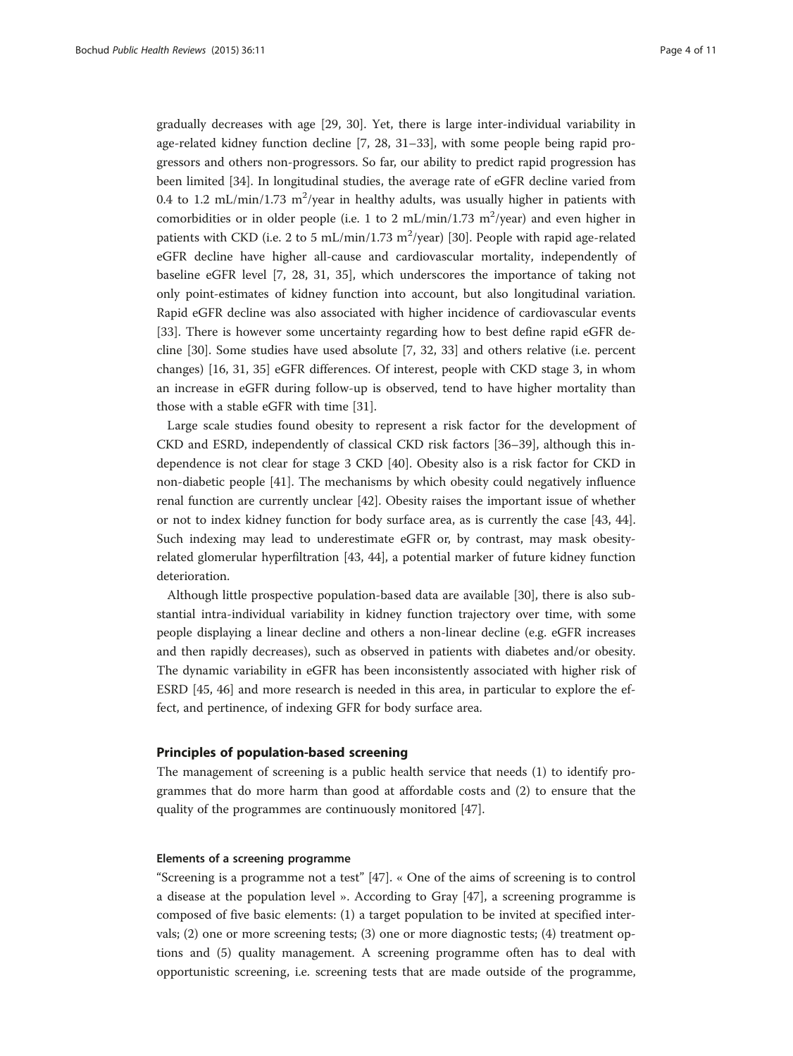gradually decreases with age [\[29](#page-9-0), [30](#page-9-0)]. Yet, there is large inter-individual variability in age-related kidney function decline [[7, 28](#page-9-0), [31](#page-9-0)–[33\]](#page-9-0), with some people being rapid progressors and others non-progressors. So far, our ability to predict rapid progression has been limited [\[34](#page-9-0)]. In longitudinal studies, the average rate of eGFR decline varied from 0.4 to 1.2 mL/min/1.73 m<sup>2</sup>/year in healthy adults, was usually higher in patients with comorbidities or in older people (i.e. 1 to 2 mL/min/1.73  $m^2$ /year) and even higher in patients with CKD (i.e. 2 to 5 mL/min/1.73  $m^2$ /year) [[30](#page-9-0)]. People with rapid age-related eGFR decline have higher all-cause and cardiovascular mortality, independently of baseline eGFR level [[7, 28](#page-9-0), [31, 35\]](#page-9-0), which underscores the importance of taking not only point-estimates of kidney function into account, but also longitudinal variation. Rapid eGFR decline was also associated with higher incidence of cardiovascular events [[33\]](#page-9-0). There is however some uncertainty regarding how to best define rapid eGFR decline [[30\]](#page-9-0). Some studies have used absolute [\[7](#page-9-0), [32, 33](#page-9-0)] and others relative (i.e. percent changes) [[16, 31, 35\]](#page-9-0) eGFR differences. Of interest, people with CKD stage 3, in whom an increase in eGFR during follow-up is observed, tend to have higher mortality than those with a stable eGFR with time [[31\]](#page-9-0).

Large scale studies found obesity to represent a risk factor for the development of CKD and ESRD, independently of classical CKD risk factors [\[36](#page-9-0)–[39\]](#page-10-0), although this independence is not clear for stage 3 CKD [\[40](#page-10-0)]. Obesity also is a risk factor for CKD in non-diabetic people [[41\]](#page-10-0). The mechanisms by which obesity could negatively influence renal function are currently unclear [\[42](#page-10-0)]. Obesity raises the important issue of whether or not to index kidney function for body surface area, as is currently the case [\[43, 44](#page-10-0)]. Such indexing may lead to underestimate eGFR or, by contrast, may mask obesityrelated glomerular hyperfiltration [\[43](#page-10-0), [44](#page-10-0)], a potential marker of future kidney function deterioration.

Although little prospective population-based data are available [\[30\]](#page-9-0), there is also substantial intra-individual variability in kidney function trajectory over time, with some people displaying a linear decline and others a non-linear decline (e.g. eGFR increases and then rapidly decreases), such as observed in patients with diabetes and/or obesity. The dynamic variability in eGFR has been inconsistently associated with higher risk of ESRD [[45, 46\]](#page-10-0) and more research is needed in this area, in particular to explore the effect, and pertinence, of indexing GFR for body surface area.

#### Principles of population-based screening

The management of screening is a public health service that needs (1) to identify programmes that do more harm than good at affordable costs and (2) to ensure that the quality of the programmes are continuously monitored [\[47\]](#page-10-0).

#### Elements of a screening programme

"Screening is a programme not a test" [[47\]](#page-10-0). « One of the aims of screening is to control a disease at the population level ». According to Gray [[47\]](#page-10-0), a screening programme is composed of five basic elements: (1) a target population to be invited at specified intervals; (2) one or more screening tests; (3) one or more diagnostic tests; (4) treatment options and (5) quality management. A screening programme often has to deal with opportunistic screening, i.e. screening tests that are made outside of the programme,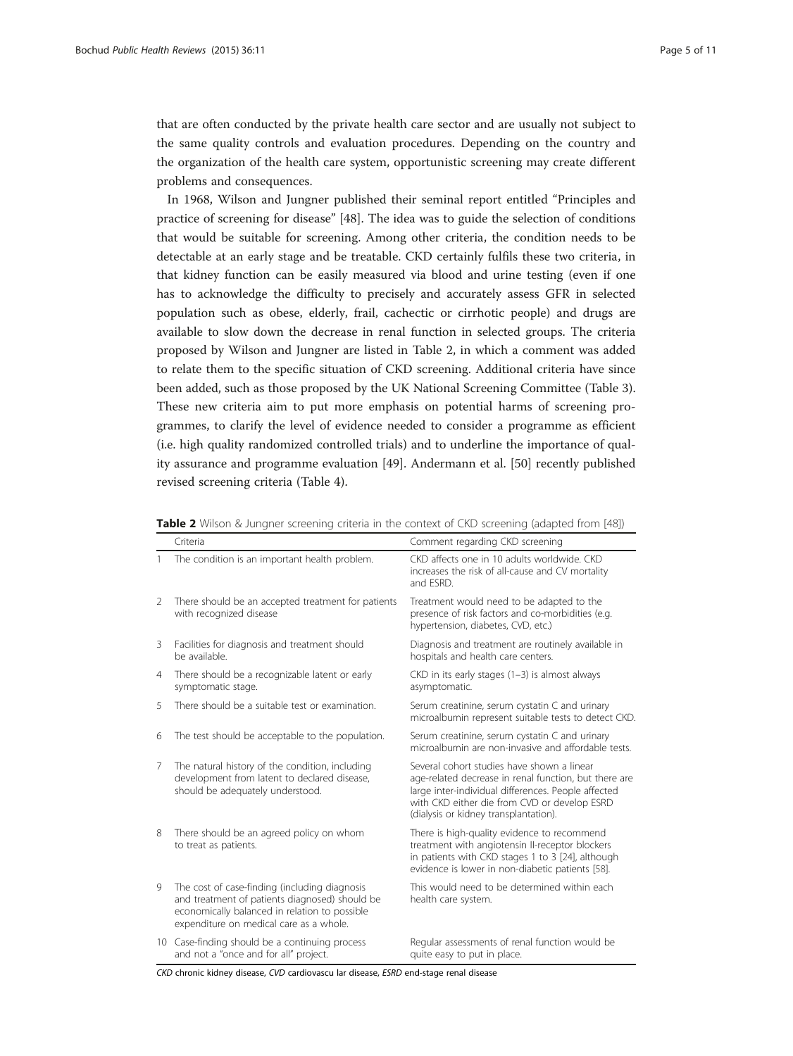that are often conducted by the private health care sector and are usually not subject to the same quality controls and evaluation procedures. Depending on the country and the organization of the health care system, opportunistic screening may create different problems and consequences.

In 1968, Wilson and Jungner published their seminal report entitled "Principles and practice of screening for disease" [\[48](#page-10-0)]. The idea was to guide the selection of conditions that would be suitable for screening. Among other criteria, the condition needs to be detectable at an early stage and be treatable. CKD certainly fulfils these two criteria, in that kidney function can be easily measured via blood and urine testing (even if one has to acknowledge the difficulty to precisely and accurately assess GFR in selected population such as obese, elderly, frail, cachectic or cirrhotic people) and drugs are available to slow down the decrease in renal function in selected groups. The criteria proposed by Wilson and Jungner are listed in Table 2, in which a comment was added to relate them to the specific situation of CKD screening. Additional criteria have since been added, such as those proposed by the UK National Screening Committee (Table [3](#page-5-0)). These new criteria aim to put more emphasis on potential harms of screening programmes, to clarify the level of evidence needed to consider a programme as efficient (i.e. high quality randomized controlled trials) and to underline the importance of quality assurance and programme evaluation [\[49](#page-10-0)]. Andermann et al. [[50](#page-10-0)] recently published revised screening criteria (Table [4\)](#page-6-0).

|   | Criteria                                                                                                                                                                                    | Comment regarding CKD screening                                                                                                                                                                                                                     |
|---|---------------------------------------------------------------------------------------------------------------------------------------------------------------------------------------------|-----------------------------------------------------------------------------------------------------------------------------------------------------------------------------------------------------------------------------------------------------|
|   | The condition is an important health problem.                                                                                                                                               | CKD affects one in 10 adults worldwide. CKD<br>increases the risk of all-cause and CV mortality<br>and ESRD.                                                                                                                                        |
| 2 | There should be an accepted treatment for patients<br>with recognized disease                                                                                                               | Treatment would need to be adapted to the<br>presence of risk factors and co-morbidities (e.g.<br>hypertension, diabetes, CVD, etc.)                                                                                                                |
| 3 | Facilities for diagnosis and treatment should<br>be available.                                                                                                                              | Diagnosis and treatment are routinely available in<br>hospitals and health care centers.                                                                                                                                                            |
| 4 | There should be a recognizable latent or early<br>symptomatic stage.                                                                                                                        | $CKD$ in its early stages $(1-3)$ is almost always<br>asymptomatic.                                                                                                                                                                                 |
| 5 | There should be a suitable test or examination.                                                                                                                                             | Serum creatinine, serum cystatin C and urinary<br>microalbumin represent suitable tests to detect CKD.                                                                                                                                              |
| 6 | The test should be acceptable to the population.                                                                                                                                            | Serum creatinine, serum cystatin C and urinary<br>microalbumin are non-invasive and affordable tests.                                                                                                                                               |
| 7 | The natural history of the condition, including<br>development from latent to declared disease,<br>should be adequately understood.                                                         | Several cohort studies have shown a linear<br>age-related decrease in renal function, but there are<br>large inter-individual differences. People affected<br>with CKD either die from CVD or develop ESRD<br>(dialysis or kidney transplantation). |
| 8 | There should be an agreed policy on whom<br>to treat as patients.                                                                                                                           | There is high-quality evidence to recommend<br>treatment with angiotensin II-receptor blockers<br>in patients with CKD stages 1 to 3 [24], although<br>evidence is lower in non-diabetic patients [58].                                             |
| 9 | The cost of case-finding (including diagnosis<br>and treatment of patients diagnosed) should be<br>economically balanced in relation to possible<br>expenditure on medical care as a whole. | This would need to be determined within each<br>health care system.                                                                                                                                                                                 |
|   | 10 Case-finding should be a continuing process<br>and not a "once and for all" project.                                                                                                     | Regular assessments of renal function would be<br>quite easy to put in place.                                                                                                                                                                       |

Table 2 Wilson & Jungner screening criteria in the context of CKD screening (adapted from [[48\]](#page-10-0))

CKD chronic kidney disease, CVD cardiovascu lar disease, ESRD end-stage renal disease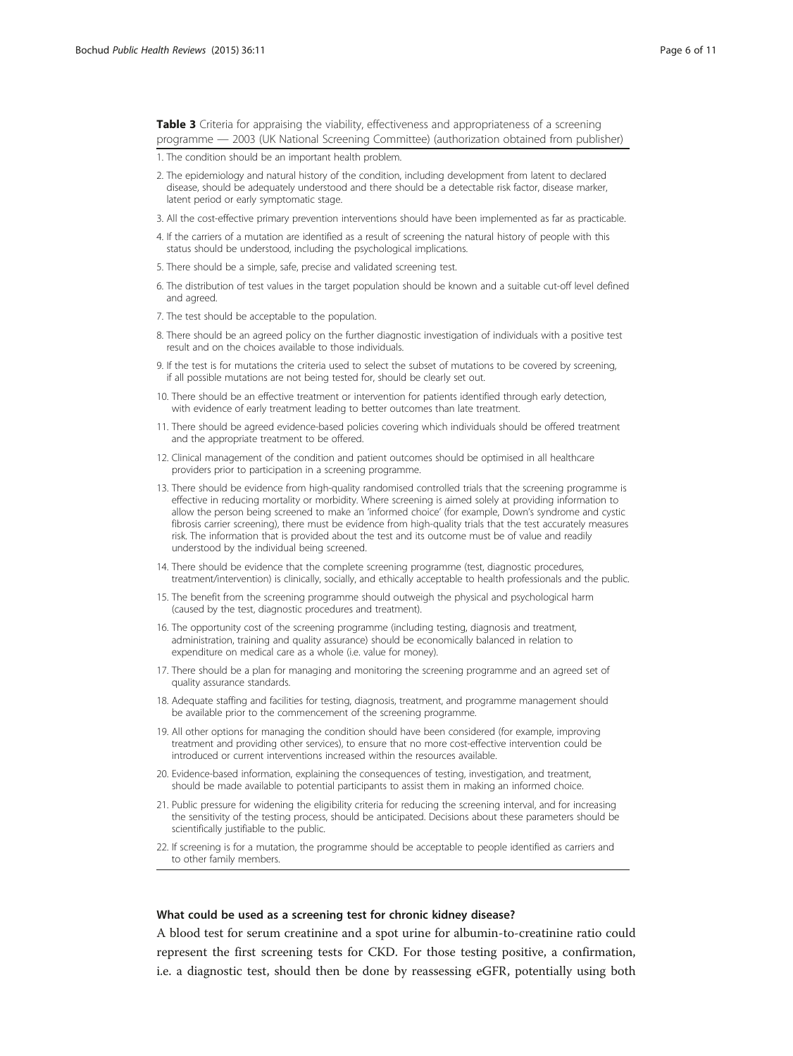<span id="page-5-0"></span>Table 3 Criteria for appraising the viability, effectiveness and appropriateness of a screening programme — 2003 (UK National Screening Committee) (authorization obtained from publisher)

- 1. The condition should be an important health problem.
- 2. The epidemiology and natural history of the condition, including development from latent to declared disease, should be adequately understood and there should be a detectable risk factor, disease marker, latent period or early symptomatic stage.
- 3. All the cost-effective primary prevention interventions should have been implemented as far as practicable.
- 4. If the carriers of a mutation are identified as a result of screening the natural history of people with this status should be understood, including the psychological implications.
- 5. There should be a simple, safe, precise and validated screening test.
- 6. The distribution of test values in the target population should be known and a suitable cut-off level defined and agreed.
- 7. The test should be acceptable to the population.
- 8. There should be an agreed policy on the further diagnostic investigation of individuals with a positive test result and on the choices available to those individuals.
- 9. If the test is for mutations the criteria used to select the subset of mutations to be covered by screening, if all possible mutations are not being tested for, should be clearly set out.
- 10. There should be an effective treatment or intervention for patients identified through early detection, with evidence of early treatment leading to better outcomes than late treatment.
- 11. There should be agreed evidence-based policies covering which individuals should be offered treatment and the appropriate treatment to be offered.
- 12. Clinical management of the condition and patient outcomes should be optimised in all healthcare providers prior to participation in a screening programme.
- 13. There should be evidence from high-quality randomised controlled trials that the screening programme is effective in reducing mortality or morbidity. Where screening is aimed solely at providing information to allow the person being screened to make an 'informed choice' (for example, Down's syndrome and cystic fibrosis carrier screening), there must be evidence from high-quality trials that the test accurately measures risk. The information that is provided about the test and its outcome must be of value and readily understood by the individual being screened.
- 14. There should be evidence that the complete screening programme (test, diagnostic procedures, treatment/intervention) is clinically, socially, and ethically acceptable to health professionals and the public.
- 15. The benefit from the screening programme should outweigh the physical and psychological harm (caused by the test, diagnostic procedures and treatment).
- 16. The opportunity cost of the screening programme (including testing, diagnosis and treatment, administration, training and quality assurance) should be economically balanced in relation to expenditure on medical care as a whole (i.e. value for money).
- 17. There should be a plan for managing and monitoring the screening programme and an agreed set of quality assurance standards.
- 18. Adequate staffing and facilities for testing, diagnosis, treatment, and programme management should be available prior to the commencement of the screening programme.
- 19. All other options for managing the condition should have been considered (for example, improving treatment and providing other services), to ensure that no more cost-effective intervention could be introduced or current interventions increased within the resources available.
- 20. Evidence-based information, explaining the consequences of testing, investigation, and treatment, should be made available to potential participants to assist them in making an informed choice.
- 21. Public pressure for widening the eligibility criteria for reducing the screening interval, and for increasing the sensitivity of the testing process, should be anticipated. Decisions about these parameters should be scientifically justifiable to the public.
- 22. If screening is for a mutation, the programme should be acceptable to people identified as carriers and to other family members.

#### What could be used as a screening test for chronic kidney disease?

A blood test for serum creatinine and a spot urine for albumin-to-creatinine ratio could represent the first screening tests for CKD. For those testing positive, a confirmation, i.e. a diagnostic test, should then be done by reassessing eGFR, potentially using both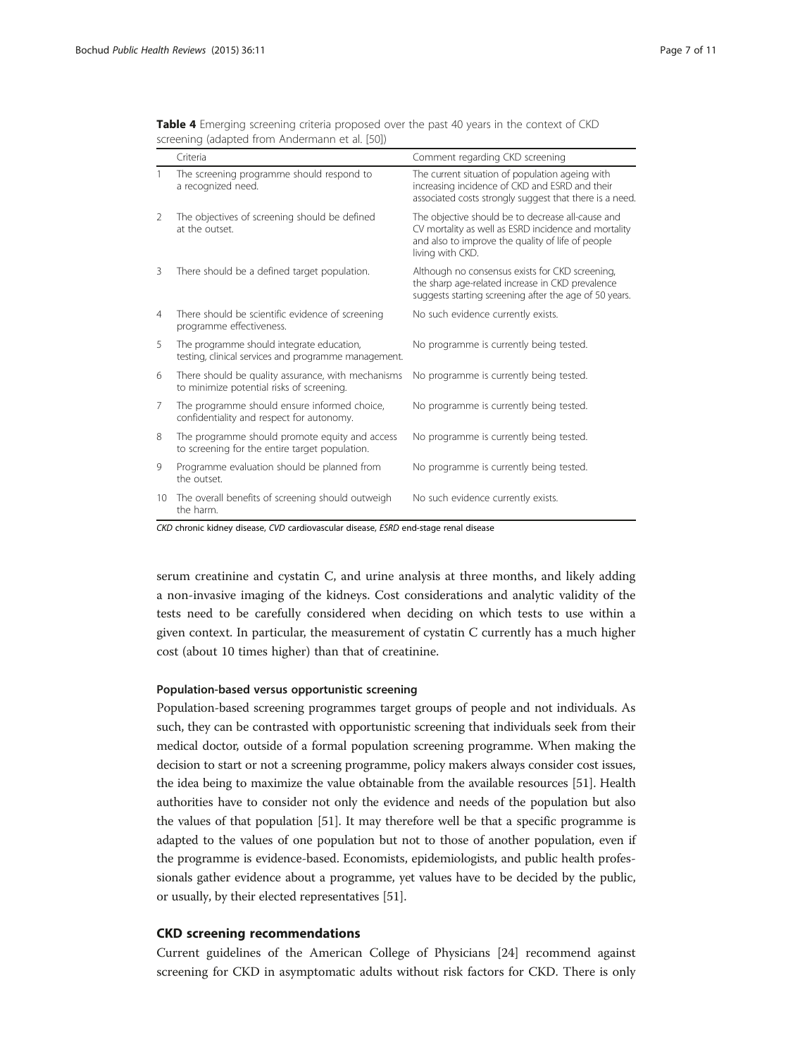|                | Criteria                                                                                          | Comment regarding CKD screening                                                                                                                                                    |
|----------------|---------------------------------------------------------------------------------------------------|------------------------------------------------------------------------------------------------------------------------------------------------------------------------------------|
|                | The screening programme should respond to<br>a recognized need.                                   | The current situation of population ageing with<br>increasing incidence of CKD and ESRD and their<br>associated costs strongly suggest that there is a need.                       |
| 2              | The objectives of screening should be defined<br>at the outset.                                   | The objective should be to decrease all-cause and<br>CV mortality as well as ESRD incidence and mortality<br>and also to improve the quality of life of people<br>living with CKD. |
| 3              | There should be a defined target population.                                                      | Although no consensus exists for CKD screening,<br>the sharp age-related increase in CKD prevalence<br>suggests starting screening after the age of 50 years.                      |
| $\overline{4}$ | There should be scientific evidence of screening<br>programme effectiveness.                      | No such evidence currently exists.                                                                                                                                                 |
| 5              | The programme should integrate education,<br>testing, clinical services and programme management. | No programme is currently being tested.                                                                                                                                            |
| 6              | There should be quality assurance, with mechanisms<br>to minimize potential risks of screening.   | No programme is currently being tested.                                                                                                                                            |
| 7              | The programme should ensure informed choice,<br>confidentiality and respect for autonomy.         | No programme is currently being tested.                                                                                                                                            |
| 8              | The programme should promote equity and access<br>to screening for the entire target population.  | No programme is currently being tested.                                                                                                                                            |
| 9              | Programme evaluation should be planned from<br>the outset.                                        | No programme is currently being tested.                                                                                                                                            |
|                | 10 The overall benefits of screening should outweigh<br>the harm.                                 | No such evidence currently exists.                                                                                                                                                 |

<span id="page-6-0"></span>Table 4 Emerging screening criteria proposed over the past 40 years in the context of CKD screening (adapted from Andermann et al. [\[50\]](#page-10-0))

CKD chronic kidney disease, CVD cardiovascular disease, ESRD end-stage renal disease

serum creatinine and cystatin C, and urine analysis at three months, and likely adding a non-invasive imaging of the kidneys. Cost considerations and analytic validity of the tests need to be carefully considered when deciding on which tests to use within a given context. In particular, the measurement of cystatin C currently has a much higher cost (about 10 times higher) than that of creatinine.

#### Population-based versus opportunistic screening

Population-based screening programmes target groups of people and not individuals. As such, they can be contrasted with opportunistic screening that individuals seek from their medical doctor, outside of a formal population screening programme. When making the decision to start or not a screening programme, policy makers always consider cost issues, the idea being to maximize the value obtainable from the available resources [[51\]](#page-10-0). Health authorities have to consider not only the evidence and needs of the population but also the values of that population [[51](#page-10-0)]. It may therefore well be that a specific programme is adapted to the values of one population but not to those of another population, even if the programme is evidence-based. Economists, epidemiologists, and public health professionals gather evidence about a programme, yet values have to be decided by the public, or usually, by their elected representatives [[51](#page-10-0)].

#### CKD screening recommendations

Current guidelines of the American College of Physicians [[24\]](#page-9-0) recommend against screening for CKD in asymptomatic adults without risk factors for CKD. There is only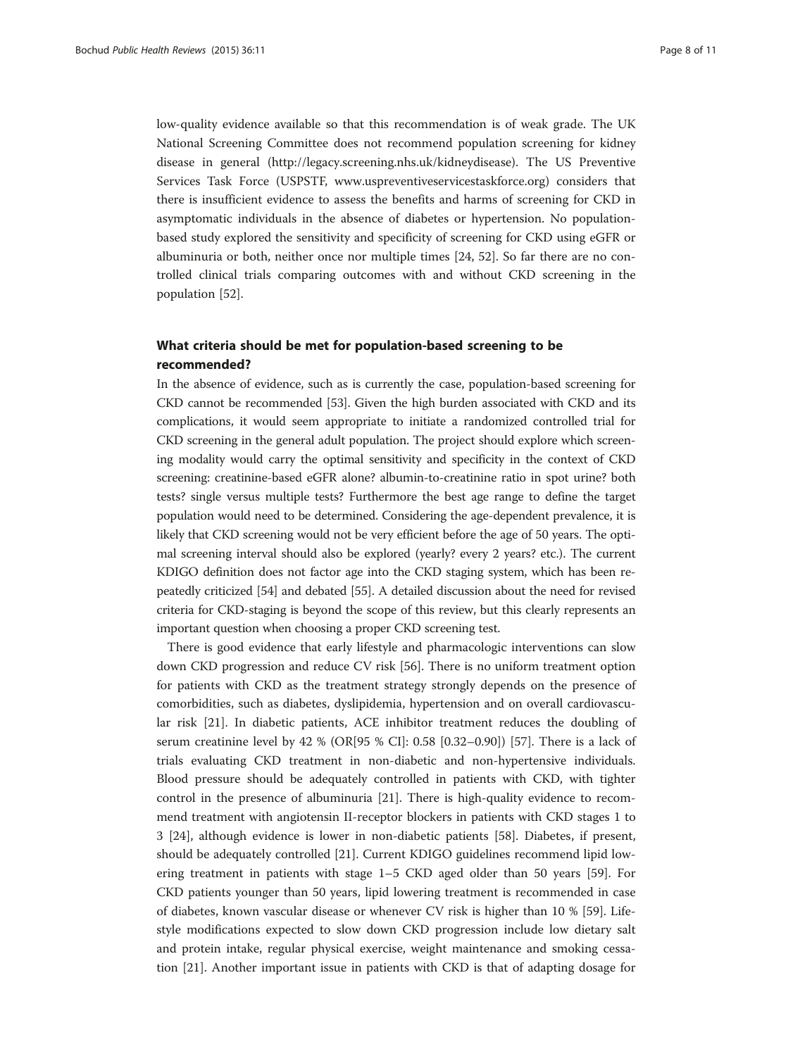low-quality evidence available so that this recommendation is of weak grade. The UK National Screening Committee does not recommend population screening for kidney disease in general [\(http://legacy.screening.nhs.uk/kidneydisease](http://legacy.screening.nhs.uk/kidneydisease)). The US Preventive Services Task Force (USPSTF, [www.uspreventiveservicestaskforce.org\)](http://www.uspreventiveservicestaskforce.org) considers that there is insufficient evidence to assess the benefits and harms of screening for CKD in asymptomatic individuals in the absence of diabetes or hypertension. No populationbased study explored the sensitivity and specificity of screening for CKD using eGFR or albuminuria or both, neither once nor multiple times [\[24](#page-9-0), [52](#page-10-0)]. So far there are no controlled clinical trials comparing outcomes with and without CKD screening in the population [[52\]](#page-10-0).

# What criteria should be met for population-based screening to be recommended?

In the absence of evidence, such as is currently the case, population-based screening for CKD cannot be recommended [\[53](#page-10-0)]. Given the high burden associated with CKD and its complications, it would seem appropriate to initiate a randomized controlled trial for CKD screening in the general adult population. The project should explore which screening modality would carry the optimal sensitivity and specificity in the context of CKD screening: creatinine-based eGFR alone? albumin-to-creatinine ratio in spot urine? both tests? single versus multiple tests? Furthermore the best age range to define the target population would need to be determined. Considering the age-dependent prevalence, it is likely that CKD screening would not be very efficient before the age of 50 years. The optimal screening interval should also be explored (yearly? every 2 years? etc.). The current KDIGO definition does not factor age into the CKD staging system, which has been repeatedly criticized [[54\]](#page-10-0) and debated [[55](#page-10-0)]. A detailed discussion about the need for revised criteria for CKD-staging is beyond the scope of this review, but this clearly represents an important question when choosing a proper CKD screening test.

There is good evidence that early lifestyle and pharmacologic interventions can slow down CKD progression and reduce CV risk [\[56](#page-10-0)]. There is no uniform treatment option for patients with CKD as the treatment strategy strongly depends on the presence of comorbidities, such as diabetes, dyslipidemia, hypertension and on overall cardiovascular risk [\[21\]](#page-9-0). In diabetic patients, ACE inhibitor treatment reduces the doubling of serum creatinine level by 42 % (OR[95 % CI]: 0.58 [0.32–0.90]) [\[57](#page-10-0)]. There is a lack of trials evaluating CKD treatment in non-diabetic and non-hypertensive individuals. Blood pressure should be adequately controlled in patients with CKD, with tighter control in the presence of albuminuria [[21\]](#page-9-0). There is high-quality evidence to recommend treatment with angiotensin II-receptor blockers in patients with CKD stages 1 to 3 [\[24\]](#page-9-0), although evidence is lower in non-diabetic patients [[58](#page-10-0)]. Diabetes, if present, should be adequately controlled [\[21](#page-9-0)]. Current KDIGO guidelines recommend lipid lowering treatment in patients with stage 1–5 CKD aged older than 50 years [\[59\]](#page-10-0). For CKD patients younger than 50 years, lipid lowering treatment is recommended in case of diabetes, known vascular disease or whenever CV risk is higher than 10 % [[59](#page-10-0)]. Lifestyle modifications expected to slow down CKD progression include low dietary salt and protein intake, regular physical exercise, weight maintenance and smoking cessation [\[21](#page-9-0)]. Another important issue in patients with CKD is that of adapting dosage for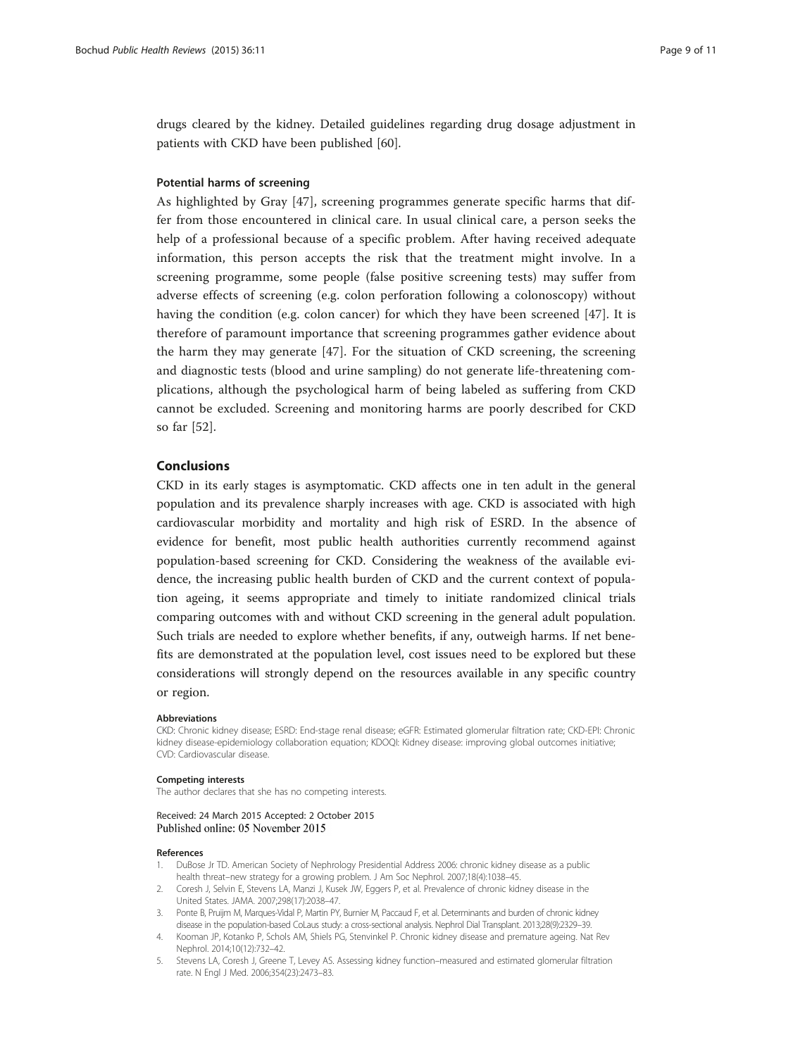<span id="page-8-0"></span>drugs cleared by the kidney. Detailed guidelines regarding drug dosage adjustment in patients with CKD have been published [\[60](#page-10-0)].

#### Potential harms of screening

As highlighted by Gray [[47\]](#page-10-0), screening programmes generate specific harms that differ from those encountered in clinical care. In usual clinical care, a person seeks the help of a professional because of a specific problem. After having received adequate information, this person accepts the risk that the treatment might involve. In a screening programme, some people (false positive screening tests) may suffer from adverse effects of screening (e.g. colon perforation following a colonoscopy) without having the condition (e.g. colon cancer) for which they have been screened [\[47](#page-10-0)]. It is therefore of paramount importance that screening programmes gather evidence about the harm they may generate [[47](#page-10-0)]. For the situation of CKD screening, the screening and diagnostic tests (blood and urine sampling) do not generate life-threatening complications, although the psychological harm of being labeled as suffering from CKD cannot be excluded. Screening and monitoring harms are poorly described for CKD so far [[52](#page-10-0)].

### Conclusions

CKD in its early stages is asymptomatic. CKD affects one in ten adult in the general population and its prevalence sharply increases with age. CKD is associated with high cardiovascular morbidity and mortality and high risk of ESRD. In the absence of evidence for benefit, most public health authorities currently recommend against population-based screening for CKD. Considering the weakness of the available evidence, the increasing public health burden of CKD and the current context of population ageing, it seems appropriate and timely to initiate randomized clinical trials comparing outcomes with and without CKD screening in the general adult population. Such trials are needed to explore whether benefits, if any, outweigh harms. If net benefits are demonstrated at the population level, cost issues need to be explored but these considerations will strongly depend on the resources available in any specific country or region.

#### Abbreviations

CKD: Chronic kidney disease; ESRD: End-stage renal disease; eGFR: Estimated glomerular filtration rate; CKD-EPI: Chronic kidney disease-epidemiology collaboration equation; KDOQI: Kidney disease: improving global outcomes initiative; CVD: Cardiovascular disease.

#### Competing interests

The author declares that she has no competing interests.

#### Received: 24 March 2015 Accepted: 2 October 2015 Published online: 05 November 2015

#### References

- 1. DuBose Jr TD. American Society of Nephrology Presidential Address 2006: chronic kidney disease as a public health threat–new strategy for a growing problem. J Am Soc Nephrol. 2007;18(4):1038–45.
- 2. Coresh J, Selvin E, Stevens LA, Manzi J, Kusek JW, Eggers P, et al. Prevalence of chronic kidney disease in the United States. JAMA. 2007;298(17):2038–47.
- 3. Ponte B, Pruijm M, Marques-Vidal P, Martin PY, Burnier M, Paccaud F, et al. Determinants and burden of chronic kidney disease in the population-based CoLaus study: a cross-sectional analysis. Nephrol Dial Transplant. 2013;28(9):2329–39.
- 4. Kooman JP, Kotanko P, Schols AM, Shiels PG, Stenvinkel P. Chronic kidney disease and premature ageing. Nat Rev Nephrol. 2014;10(12):732–42.
- 5. Stevens LA, Coresh J, Greene T, Levey AS. Assessing kidney function–measured and estimated glomerular filtration rate. N Engl J Med. 2006;354(23):2473–83.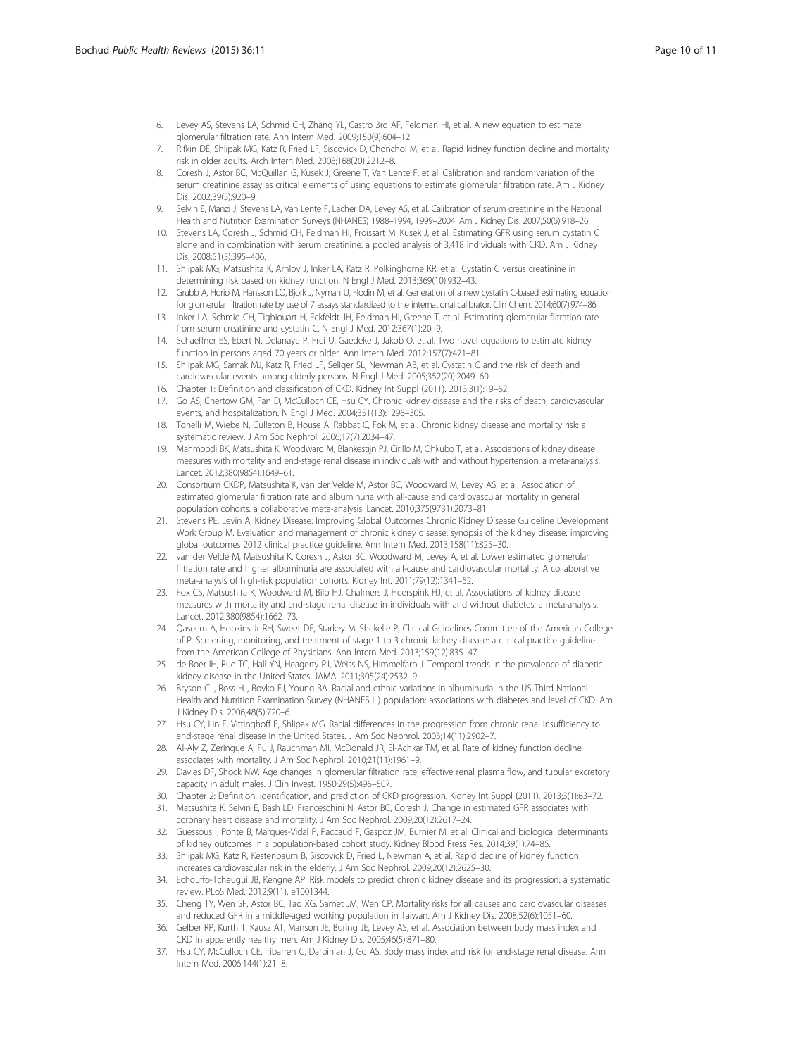- <span id="page-9-0"></span>6. Levey AS, Stevens LA, Schmid CH, Zhang YL, Castro 3rd AF, Feldman HI, et al. A new equation to estimate glomerular filtration rate. Ann Intern Med. 2009;150(9):604–12.
- Rifkin DE, Shlipak MG, Katz R, Fried LF, Siscovick D, Chonchol M, et al. Rapid kidney function decline and mortality risk in older adults. Arch Intern Med. 2008;168(20):2212–8.
- 8. Coresh J, Astor BC, McQuillan G, Kusek J, Greene T, Van Lente F, et al. Calibration and random variation of the serum creatinine assay as critical elements of using equations to estimate glomerular filtration rate. Am J Kidney Dis. 2002;39(5):920–9.
- 9. Selvin E, Manzi J, Stevens LA, Van Lente F, Lacher DA, Levey AS, et al. Calibration of serum creatinine in the National Health and Nutrition Examination Surveys (NHANES) 1988–1994, 1999–2004. Am J Kidney Dis. 2007;50(6):918–26.
- 10. Stevens LA, Coresh J, Schmid CH, Feldman HI, Froissart M, Kusek J, et al. Estimating GFR using serum cystatin C alone and in combination with serum creatinine: a pooled analysis of 3,418 individuals with CKD. Am J Kidney Dis. 2008;51(3):395–406.
- 11. Shlipak MG, Matsushita K, Arnlov J, Inker LA, Katz R, Polkinghorne KR, et al. Cystatin C versus creatinine in determining risk based on kidney function. N Engl J Med. 2013;369(10):932–43.
- 12. Grubb A, Horio M, Hansson LO, Bjork J, Nyman U, Flodin M, et al. Generation of a new cystatin C-based estimating equation for glomerular filtration rate by use of 7 assays standardized to the international calibrator. Clin Chem. 2014;60(7):974-86.
- 13. Inker LA, Schmid CH, Tighiouart H, Eckfeldt JH, Feldman HI, Greene T, et al. Estimating glomerular filtration rate from serum creatinine and cystatin C. N Engl J Med. 2012;367(1):20–9.
- 14. Schaeffner ES, Ebert N, Delanaye P, Frei U, Gaedeke J, Jakob O, et al. Two novel equations to estimate kidney function in persons aged 70 years or older. Ann Intern Med. 2012;157(7):471–81.
- 15. Shlipak MG, Sarnak MJ, Katz R, Fried LF, Seliger SL, Newman AB, et al. Cystatin C and the risk of death and cardiovascular events among elderly persons. N Engl J Med. 2005;352(20):2049–60.
- 16. Chapter 1: Definition and classification of CKD. Kidney Int Suppl (2011). 2013;3(1):19–62.
- 17. Go AS, Chertow GM, Fan D, McCulloch CE, Hsu CY. Chronic kidney disease and the risks of death, cardiovascular events, and hospitalization. N Engl J Med. 2004;351(13):1296–305.
- 18. Tonelli M, Wiebe N, Culleton B, House A, Rabbat C, Fok M, et al. Chronic kidney disease and mortality risk: a systematic review. J Am Soc Nephrol. 2006;17(7):2034–47.
- 19. Mahmoodi BK, Matsushita K, Woodward M, Blankestijn PJ, Cirillo M, Ohkubo T, et al. Associations of kidney disease measures with mortality and end-stage renal disease in individuals with and without hypertension: a meta-analysis. Lancet. 2012;380(9854):1649–61.
- 20. Consortium CKDP, Matsushita K, van der Velde M, Astor BC, Woodward M, Levey AS, et al. Association of estimated glomerular filtration rate and albuminuria with all-cause and cardiovascular mortality in general population cohorts: a collaborative meta-analysis. Lancet. 2010;375(9731):2073–81.
- 21. Stevens PE, Levin A, Kidney Disease: Improving Global Outcomes Chronic Kidney Disease Guideline Development Work Group M. Evaluation and management of chronic kidney disease: synopsis of the kidney disease: improving global outcomes 2012 clinical practice guideline. Ann Intern Med. 2013;158(11):825–30.
- 22. van der Velde M, Matsushita K, Coresh J, Astor BC, Woodward M, Levey A, et al. Lower estimated glomerular filtration rate and higher albuminuria are associated with all-cause and cardiovascular mortality. A collaborative meta-analysis of high-risk population cohorts. Kidney Int. 2011;79(12):1341–52.
- 23. Fox CS, Matsushita K, Woodward M, Bilo HJ, Chalmers J, Heerspink HJ, et al. Associations of kidney disease measures with mortality and end-stage renal disease in individuals with and without diabetes: a meta-analysis. Lancet. 2012;380(9854):1662–73.
- 24. Qaseem A, Hopkins Jr RH, Sweet DE, Starkey M, Shekelle P, Clinical Guidelines Committee of the American College of P. Screening, monitoring, and treatment of stage 1 to 3 chronic kidney disease: a clinical practice guideline from the American College of Physicians. Ann Intern Med. 2013;159(12):835–47.
- 25. de Boer IH, Rue TC, Hall YN, Heagerty PJ, Weiss NS, Himmelfarb J. Temporal trends in the prevalence of diabetic kidney disease in the United States. JAMA. 2011;305(24):2532–9.
- 26. Bryson CL, Ross HJ, Boyko EJ, Young BA. Racial and ethnic variations in albuminuria in the US Third National Health and Nutrition Examination Survey (NHANES III) population: associations with diabetes and level of CKD. Am J Kidney Dis. 2006;48(5):720–6.
- 27. Hsu CY, Lin F, Vittinghoff E, Shlipak MG. Racial differences in the progression from chronic renal insufficiency to end-stage renal disease in the United States. J Am Soc Nephrol. 2003;14(11):2902–7.
- 28. Al-Aly Z, Zeringue A, Fu J, Rauchman MI, McDonald JR, El-Achkar TM, et al. Rate of kidney function decline associates with mortality. J Am Soc Nephrol. 2010;21(11):1961–9.
- 29. Davies DF, Shock NW. Age changes in glomerular filtration rate, effective renal plasma flow, and tubular excretory capacity in adult males. J Clin Invest. 1950;29(5):496–507.
- 30. Chapter 2: Definition, identification, and prediction of CKD progression. Kidney Int Suppl (2011). 2013;3(1):63–72.
- 31. Matsushita K, Selvin E, Bash LD, Franceschini N, Astor BC, Coresh J. Change in estimated GFR associates with coronary heart disease and mortality. J Am Soc Nephrol. 2009;20(12):2617–24.
- 32. Guessous I, Ponte B, Marques-Vidal P, Paccaud F, Gaspoz JM, Burnier M, et al. Clinical and biological determinants of kidney outcomes in a population-based cohort study. Kidney Blood Press Res. 2014;39(1):74–85.
- 33. Shlipak MG, Katz R, Kestenbaum B, Siscovick D, Fried L, Newman A, et al. Rapid decline of kidney function increases cardiovascular risk in the elderly. J Am Soc Nephrol. 2009;20(12):2625–30.
- 34. Echouffo-Tcheugui JB, Kengne AP. Risk models to predict chronic kidney disease and its progression: a systematic review. PLoS Med. 2012;9(11), e1001344.
- 35. Cheng TY, Wen SF, Astor BC, Tao XG, Samet JM, Wen CP. Mortality risks for all causes and cardiovascular diseases and reduced GFR in a middle-aged working population in Taiwan. Am J Kidney Dis. 2008;52(6):1051–60.
- 36. Gelber RP, Kurth T, Kausz AT, Manson JE, Buring JE, Levey AS, et al. Association between body mass index and CKD in apparently healthy men. Am J Kidney Dis. 2005;46(5):871–80.
- 37. Hsu CY, McCulloch CE, Iribarren C, Darbinian J, Go AS. Body mass index and risk for end-stage renal disease. Ann Intern Med. 2006;144(1):21–8.